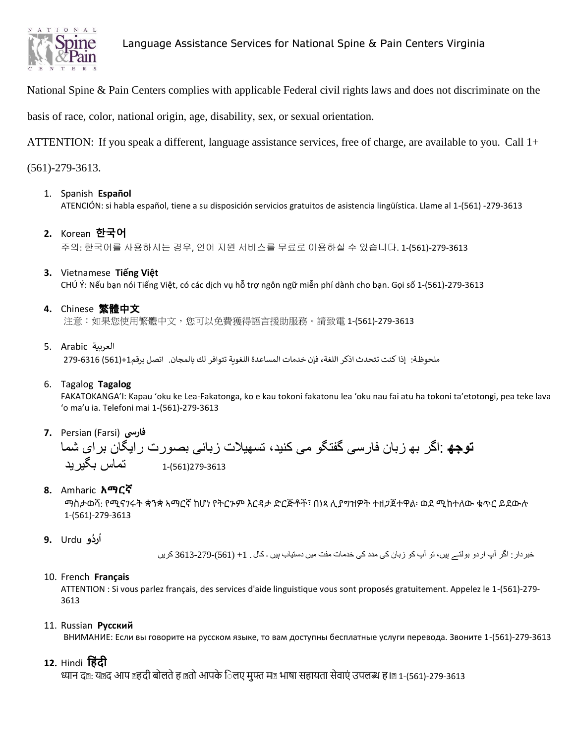

# Language Assistance Services for National Spine & Pain Centers Virginia

National Spine & Pain Centers complies with applicable Federal civil rights laws and does not discriminate on the

basis of race, color, national origin, age, disability, sex, or sexual orientation.

ATTENTION: If you speak a different, language assistance services, free of charge, are available to you. Call 1+

(561)-279-3613.

1. Spanish **Español**

ATENCIÓN: si habla español, tiene a su disposición servicios gratuitos de asistencia lingüística. Llame al 1-(561) -279-3613

**2.** Korean **한국어** 

주의: 한국어를 사용하시는 경우, 언어 지원 서비스를 무료로 이용하실 수 있습니다. 1-(561)-279-3613

**3.** Vietnamese **Tiếng Việt** 

CHÚ Ý: Nếu bạn nói Tiếng Việt, có các dịch vụ hỗ trợ ngôn ngữ miễn phí dành cho bạn. Gọi số 1-(561)-279-3613

**4.** Chinese 繁體中文

注意:如果您使用繁體中文,您可以免費獲得語言援助服務。請致電 1-(561)-279-3613

العربية Arabic 5.

ملحوظة: إذا كنت تتحدث اذكر اللغة، فإن خدمات المساعدة اللغویة تتوافر لك بالمجان. اتصل برقم+1(561) 279-6316

6. Tagalog **Tagalog**

FAKATOKANGA'I: Kapau 'oku ke Lea-Fakatonga, ko e kau tokoni fakatonu lea 'oku nau fai atu ha tokoni ta'etotongi, pea teke lava 'o ma'u ia. Telefoni mai 1-(561)-279-3613

**7.** Persian (Farsi) **فارسی**



**8.** Amharic **አማርኛ**

ማስታወሻ: የሚናገሩት ቋንቋ ኣማርኛ ከሆነ የትርጉም እርዳታ ድርጅቶች፣ በነጻ ሊያግዝዎት ተዘጋጀተዋል፡ ወደ ሚከተለው ቁጥር ይደውሉ 1-(561)-279-3613

**و** Urdu **9. رد ُ ُ ا**

خبردار: اگر آپ اردو بولتے ہیں، تو آپ کو زبان کی مدد کی خدمات مفت میں دستیاب ہیں ۔ کال . +1 (561)3613-279- کریں

10. French **Français**

ATTENTION : Si vous parlez français, des services d'aide linguistique vous sont proposés gratuitement. Appelez le 1-(561)-279- 3613

### 11. Russian **Русский**

ВНИМАНИЕ: Если вы говорите на русском языке, то вам доступны бесплатные услуги перевода. Звоните 1-(561)-279-3613

**12.** Hindi **ह िंदी** 

ध्यान द@: य@द आप @हदी बोलते ह @तो आपके िलए मुफ्त म@ भाषा सहायता सेवाएं उपलब्ध ह I@ 1-(561)-279-3613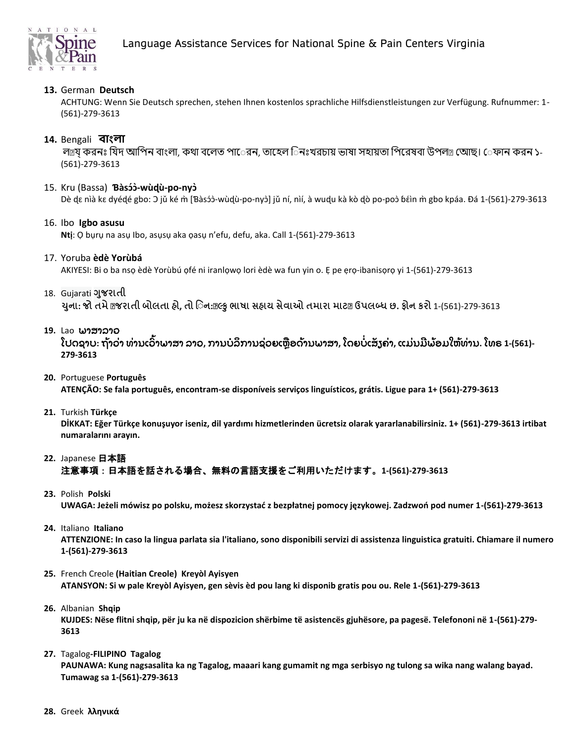

## **13.** German **Deutsch**

ACHTUNG: Wenn Sie Deutsch sprechen, stehen Ihnen kostenlos sprachliche Hilfsdienstleistungen zur Verfügung. Rufnummer: 1- (561)-279-3613

### **14.** Bengali **বাাংলা**

লল্রয করনঃ যিদ আপিন বাংলা, কথা বলেত পারেন, তাহেল িনঃখরচায় ভাষা সহায়তা পিরেষবা উপল $_{\mathbb{B}}$  অোছ। েফান করন ১-(561)-279-3613

#### 15. Kru (Bassa) **Ɓàsɔɔ́ ̀-wùɖù-po-nyɔ̀**

Dè dɛ nìà kɛ dyédé gbo: ɔ jǔ ké m̀ [Bàsɔ́ɔ̀-wùdุù-po-nyɔ̀] jǔ ní, nìí, à wudu kà kò dò po-poɔ̀ bɛ̂in m̀ gbo kpáa. Đá 1-(561)-279-3613

#### 16. Ibo **Igbo asusu**

**Ntị**: Ọ bụrụ na asụ Ibo, asụsụ aka ọasụ n'efu, defu, aka. Call 1-(561)-279-3613

#### 17. Yoruba **èdè Yorùbá**

AKIYESI: Bi o ba nsọ èdè Yorùbú ọfé ni iranlọwọ lori èdè wa fun yin o. Ẹ pe ẹrọ-ibanisọrọ yi 1-(561)-279-3613

#### 18. Gujarati **ગજુ રાતી**

યુના: જો તમે @જરાતી બોલતા હો, તો િન:@લ્કુ ભાષા સહ્યય સેવાઓ તમારા માટ@ ઉપલબ્ધ છ. ફોન કરો 1-(561)-279-3613

#### **19.** Laoພາສາລາວ

ໂປດຊາບ: ຖ້າວ່າ ທ່ານເວົ້າພາສາ ລາວ, ການບໍລິການຊ່ວຍເຫຼືອດ້ານພາສາ, ໂດຍບໍ່ເສັງຄ່າ, ແມ່ນມີພ້ອມໃຫ້ທ່ານ. ໂທຣ 1-(561)-**279-3613**

#### **20.** Portuguese **Português**

**ATENÇÃO: Se fala português, encontram-se disponíveis serviços linguísticos, grátis. Ligue para 1+ (561)-279-3613**

**21.** Turkish **Türkçe** 

DİKKAT: Eğer Türkçe konuşuyor iseniz, dil yardımı hizmetlerinden ücretsiz olarak yararlanabilirsiniz. 1+ (561)-279-3613 irtibat **numaralarınıیarayın.**

## **22.** Japanese 日本語 注意事項:日本語を話される場合、無料の言語支援をご利用いただけます。**1-(561)-279-3613**

**23.** Polish **Polski** 

UWAGA: Jeżeli mówisz po polsku, możesz skorzystać z bezpłatnej pomocy językowej. Zadzwoń pod numer 1-(561)-279-3613

#### **24.** Italiano **Italiano**

**ATTENZIONE: In caso la lingua parlata sia l'italiano, sono disponibili servizi di assistenza linguistica gratuiti. Chiamare il numero 1-(561)-279-3613**

- **25.** French Creole **(Haitian Creole) Kreyòl Ayisyen ATANSYON: Si w pale Kreyòl Ayisyen, gen sèvis èd pou lang ki disponib gratis pou ou. Rele 1-(561)-279-3613**
- **26.** Albanian **Shqip KUJDES: Nëse flitni shqip, për ju ka në dispozicion shërbime të asistencës gjuhësore, pa pagesë. Telefononi në 1-(561)-279- 3613**

## **27.** Tagalog**-FILIPINO Tagalog PAUNAWA: Kung nagsasalita ka ng Tagalog, maaari kang gumamit ng mga serbisyo ng tulong sa wika nang walang bayad. Tumawag sa 1-(561)-279-3613**